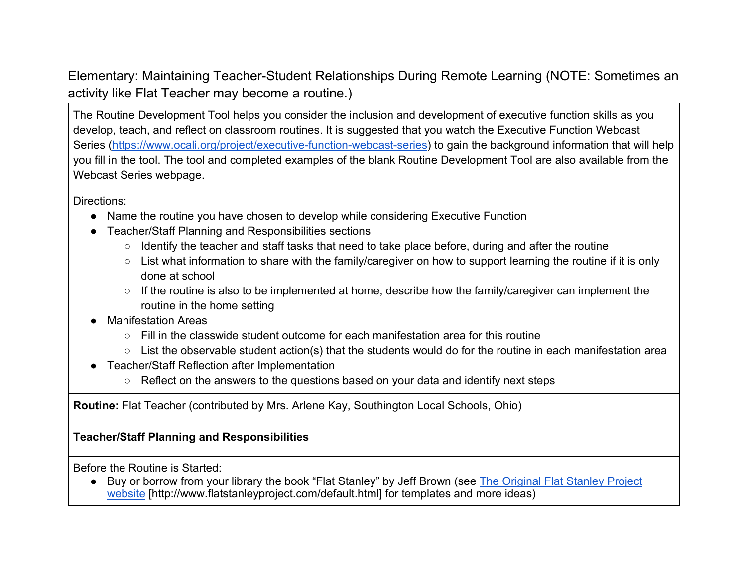## Elementary: Maintaining Teacher-Student Relationships During Remote Learning (NOTE: Sometimes an activity like Flat Teacher may become a routine.)

The Routine Development Tool helps you consider the inclusion and development of executive function skills as you develop, teach, and reflect on classroom routines. It is suggested that you watch the Executive Function Webcast Series [\(https://www.ocali.org/project/executive-function-webcast-series\)](https://www.ocali.org/project/executive-function-webcast-series) to gain the background information that will help you fill in the tool. The tool and completed examples of the blank Routine Development Tool are also available from the Webcast Series webpage.

Directions:

- Name the routine you have chosen to develop while considering Executive Function
- Teacher/Staff Planning and Responsibilities sections
	- Identify the teacher and staff tasks that need to take place before, during and after the routine
	- List what information to share with the family/caregiver on how to support learning the routine if it is only done at school
	- If the routine is also to be implemented at home, describe how the family/caregiver can implement the routine in the home setting
- Manifestation Areas
	- $\circ$  Fill in the classwide student outcome for each manifestation area for this routine
	- List the observable student action(s) that the students would do for the routine in each manifestation area
- Teacher/Staff Reflection after Implementation
	- Reflect on the answers to the questions based on your data and identify next steps

**Routine:** Flat Teacher (contributed by Mrs. Arlene Kay, Southington Local Schools, Ohio)

## **Teacher/Staff Planning and Responsibilities**

Before the Routine is Started:

● Buy or borrow from your library the book "Flat Stanley" by Jeff Brown (see The Original Flat Stanley Project [website](http://www.flatstanleyproject.com/default.html) [\[http://www.flatstanleyproject.com/default.html\]](http://www.flatstanleyproject.com/default.html) for templates and more ideas)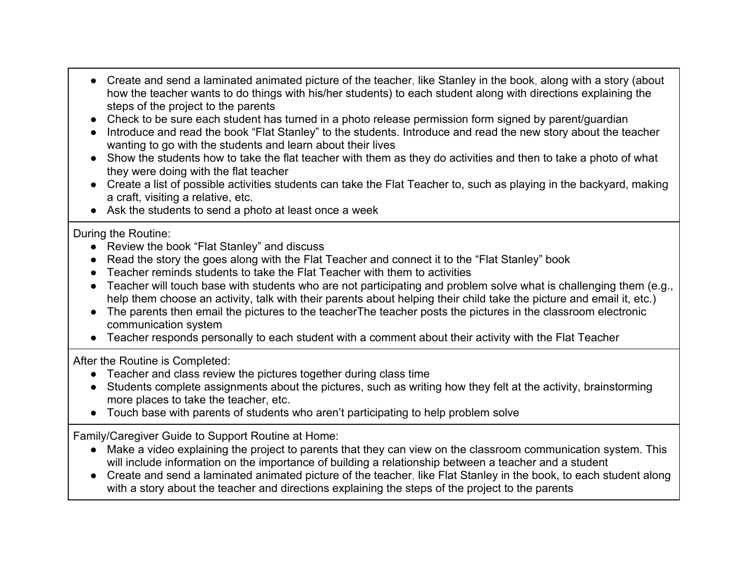- Create and send a laminated animated picture of the teacher, like Stanley in the book, along with a story (about how the teacher wants to do things with his/her students) to each student along with directions explaining the steps of the project to the parents
- Check to be sure each student has turned in a photo release permission form signed by parent/guardian
- Introduce and read the book "Flat Stanley" to the students. Introduce and read the new story about the teacher wanting to go with the students and learn about their lives
- Show the students how to take the flat teacher with them as they do activities and then to take a photo of what they were doing with the flat teacher
- Create a list of possible activities students can take the Flat Teacher to, such as playing in the backyard, making a craft, visiting a relative, etc.
- Ask the students to send a photo at least once a week

During the Routine:

- Review the book "Flat Stanley" and discuss
- Read the story the goes along with the Flat Teacher and connect it to the "Flat Stanley" book
- Teacher reminds students to take the Flat Teacher with them to activities
- Teacher will touch base with students who are not participating and problem solve what is challenging them (e.g., help them choose an activity, talk with their parents about helping their child take the picture and email it, etc.)
- The parents then email the pictures to the teacherThe teacher posts the pictures in the classroom electronic communication system
- Teacher responds personally to each student with a comment about their activity with the Flat Teacher

After the Routine is Completed:

- Teacher and class review the pictures together during class time
- Students complete assignments about the pictures, such as writing how they felt at the activity, brainstorming more places to take the teacher, etc.
- Touch base with parents of students who aren't participating to help problem solve

Family/Caregiver Guide to Support Routine at Home:

- Make a video explaining the project to parents that they can view on the classroom communication system. This will include information on the importance of building a relationship between a teacher and a student
- Create and send a laminated animated picture of the teacher, like Flat Stanley in the book, to each student along with a story about the teacher and directions explaining the steps of the project to the parents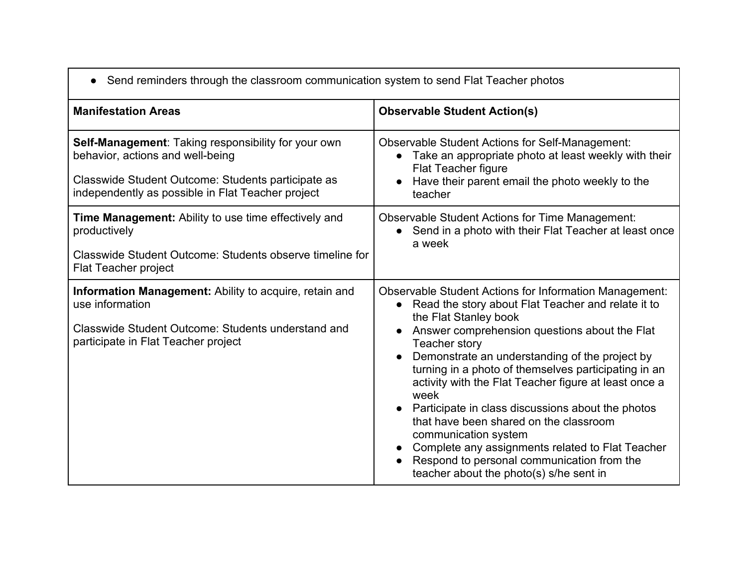|  | • Send reminders through the classroom communication system to send Flat Teacher photos |  |
|--|-----------------------------------------------------------------------------------------|--|
|--|-----------------------------------------------------------------------------------------|--|

| <b>Manifestation Areas</b>                                                                                                                                                                         | <b>Observable Student Action(s)</b>                                                                                                                                                                                                                                                                                                                                                                                                                                                                                                                                                                                                                           |
|----------------------------------------------------------------------------------------------------------------------------------------------------------------------------------------------------|---------------------------------------------------------------------------------------------------------------------------------------------------------------------------------------------------------------------------------------------------------------------------------------------------------------------------------------------------------------------------------------------------------------------------------------------------------------------------------------------------------------------------------------------------------------------------------------------------------------------------------------------------------------|
| Self-Management: Taking responsibility for your own<br>behavior, actions and well-being<br>Classwide Student Outcome: Students participate as<br>independently as possible in Flat Teacher project | <b>Observable Student Actions for Self-Management:</b><br>• Take an appropriate photo at least weekly with their<br>Flat Teacher figure<br>Have their parent email the photo weekly to the<br>teacher                                                                                                                                                                                                                                                                                                                                                                                                                                                         |
| <b>Time Management:</b> Ability to use time effectively and<br>productively<br>Classwide Student Outcome: Students observe timeline for<br>Flat Teacher project                                    | <b>Observable Student Actions for Time Management:</b><br>Send in a photo with their Flat Teacher at least once<br>a week                                                                                                                                                                                                                                                                                                                                                                                                                                                                                                                                     |
| Information Management: Ability to acquire, retain and<br>use information<br>Classwide Student Outcome: Students understand and<br>participate in Flat Teacher project                             | <b>Observable Student Actions for Information Management:</b><br>Read the story about Flat Teacher and relate it to<br>the Flat Stanley book<br>Answer comprehension questions about the Flat<br>Teacher story<br>Demonstrate an understanding of the project by<br>turning in a photo of themselves participating in an<br>activity with the Flat Teacher figure at least once a<br>week<br>Participate in class discussions about the photos<br>that have been shared on the classroom<br>communication system<br>Complete any assignments related to Flat Teacher<br>Respond to personal communication from the<br>teacher about the photo(s) s/he sent in |